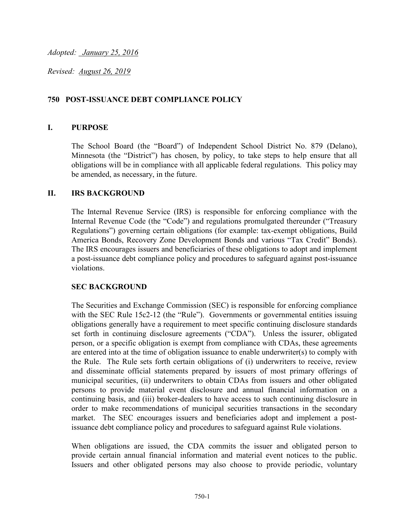*Revised: August 26, 2019*

# **750 POST-ISSUANCE DEBT COMPLIANCE POLICY**

#### **I. PURPOSE**

The School Board (the "Board") of Independent School District No. 879 (Delano), Minnesota (the "District") has chosen, by policy, to take steps to help ensure that all obligations will be in compliance with all applicable federal regulations. This policy may be amended, as necessary, in the future.

#### **II. IRS BACKGROUND**

The Internal Revenue Service (IRS) is responsible for enforcing compliance with the Internal Revenue Code (the "Code") and regulations promulgated thereunder ("Treasury Regulations") governing certain obligations (for example: tax-exempt obligations, Build America Bonds, Recovery Zone Development Bonds and various "Tax Credit" Bonds). The IRS encourages issuers and beneficiaries of these obligations to adopt and implement a post-issuance debt compliance policy and procedures to safeguard against post-issuance violations.

#### **SEC BACKGROUND**

The Securities and Exchange Commission (SEC) is responsible for enforcing compliance with the SEC Rule 15c2-12 (the "Rule"). Governments or governmental entities issuing obligations generally have a requirement to meet specific continuing disclosure standards set forth in continuing disclosure agreements ("CDA"). Unless the issurer, obligated person, or a specific obligation is exempt from compliance with CDAs, these agreements are entered into at the time of obligation issuance to enable underwriter(s) to comply with the Rule. The Rule sets forth certain obligations of (i) underwriters to receive, review and disseminate official statements prepared by issuers of most primary offerings of municipal securities, (ii) underwriters to obtain CDAs from issuers and other obligated persons to provide material event disclosure and annual financial information on a continuing basis, and (iii) broker-dealers to have access to such continuing disclosure in order to make recommendations of municipal securities transactions in the secondary market. The SEC encourages issuers and beneficiaries adopt and implement a postissuance debt compliance policy and procedures to safeguard against Rule violations.

When obligations are issued, the CDA commits the issuer and obligated person to provide certain annual financial information and material event notices to the public. Issuers and other obligated persons may also choose to provide periodic, voluntary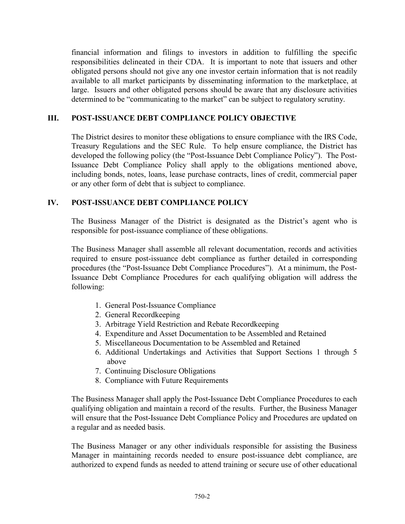financial information and filings to investors in addition to fulfilling the specific responsibilities delineated in their CDA. It is important to note that issuers and other obligated persons should not give any one investor certain information that is not readily available to all market participants by disseminating information to the marketplace, at large. Issuers and other obligated persons should be aware that any disclosure activities determined to be "communicating to the market" can be subject to regulatory scrutiny.

# **III. POST-ISSUANCE DEBT COMPLIANCE POLICY OBJECTIVE**

The District desires to monitor these obligations to ensure compliance with the IRS Code, Treasury Regulations and the SEC Rule. To help ensure compliance, the District has developed the following policy (the "Post-Issuance Debt Compliance Policy"). The Post-Issuance Debt Compliance Policy shall apply to the obligations mentioned above, including bonds, notes, loans, lease purchase contracts, lines of credit, commercial paper or any other form of debt that is subject to compliance.

# **IV. POST-ISSUANCE DEBT COMPLIANCE POLICY**

The Business Manager of the District is designated as the District's agent who is responsible for post-issuance compliance of these obligations.

The Business Manager shall assemble all relevant documentation, records and activities required to ensure post-issuance debt compliance as further detailed in corresponding procedures (the "Post-Issuance Debt Compliance Procedures"). At a minimum, the Post-Issuance Debt Compliance Procedures for each qualifying obligation will address the following:

- 1. General Post-Issuance Compliance
- 2. General Recordkeeping
- 3. Arbitrage Yield Restriction and Rebate Recordkeeping
- 4. Expenditure and Asset Documentation to be Assembled and Retained
- 5. Miscellaneous Documentation to be Assembled and Retained
- 6. Additional Undertakings and Activities that Support Sections 1 through 5 above
- 7. Continuing Disclosure Obligations
- 8. Compliance with Future Requirements

The Business Manager shall apply the Post-Issuance Debt Compliance Procedures to each qualifying obligation and maintain a record of the results. Further, the Business Manager will ensure that the Post-Issuance Debt Compliance Policy and Procedures are updated on a regular and as needed basis.

The Business Manager or any other individuals responsible for assisting the Business Manager in maintaining records needed to ensure post-issuance debt compliance, are authorized to expend funds as needed to attend training or secure use of other educational